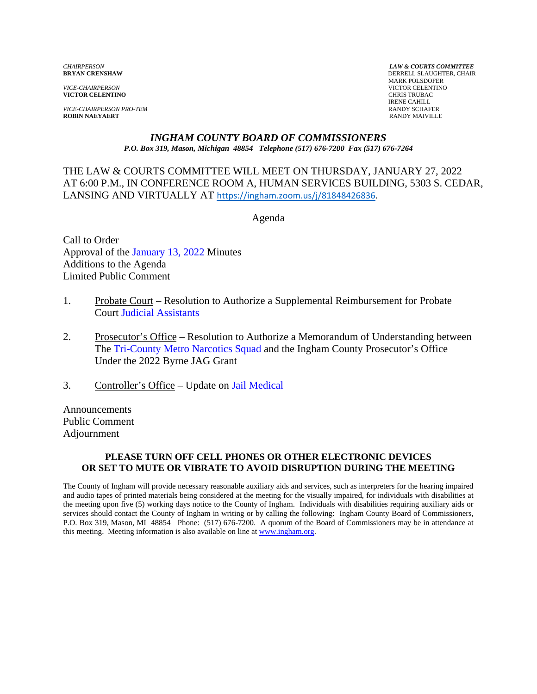*VICE-CHAIRPERSON* VICTOR CELENTINO **VICTOR CELENTINO** 

*VICE-CHAIRPERSON PRO-TEM* **RANDY SCHAFER ROBIN NAEYAERT RANDY SCHAFER ROBIN NAEYAERT ROBIN NAEYAERT** 

*CHAIRPERSON LAW & COURTS COMMITTEE* **DERRELL SLAUGHTER, CHAIR**  MARK POLSDOFER IRENE CAHILL<br>RANDY SCHAFER

#### *INGHAM COUNTY BOARD OF COMMISSIONERS P.O. Box 319, Mason, Michigan 48854 Telephone (517) 676-7200 Fax (517) 676-7264*

THE LAW & COURTS COMMITTEE WILL MEET ON THURSDAY, JANUARY 27, 2022 AT 6:00 P.M., IN CONFEREN[CE ROOM A, HUMAN SERVICES BUILDING, 5](https://ingham.zoom.us/j/81848426836)303 S. CEDAR, LANSING AND VIRTUALLY AT https://ingham.zoom.us/j/81848426836.

Agenda

Call to Order Approval of t[he January 13, 2022 Minutes](#page-1-0)  Additions to the Agenda Limited Public Comment

- 1. Pro[bate Court Resolution to Auth](#page-19-0)orize a Supplemental Reimbursement for Probate Court Judicial Assistants
- 2. Prosecutor's Office Resolution to Authorize a Memorandum of Understanding between T[he Tri-County Metro Narcotics Squad and the](#page-21-0) Ingham County Prosecutor's Office Under the 2022 Byrne JAG Grant
- 3. Controller's Office Upd[ate on Jail Medical](#page-23-0)

Announcements Public Comment Adjournment

### **PLEASE TURN OFF CELL PHONES OR OTHER ELECTRONIC DEVICES OR SET TO MUTE OR VIBRATE TO AVOID DISRUPTION DURING THE MEETING**

The County of Ingham will provide necessary reasonable auxiliary aids and services, such as interpreters for the hearing impaired and audio tapes of printed materials being considered at the meeting for the visually impaired, for individuals with disabilities at the meeting upon five (5) working days notice to the County of Ingham. Individuals with disabilities requiring auxiliary aids or services should contact the County of Ingham in writing or by calling the following: Ingham County Board of Commissioners, P.O. Box 319, Mason, MI 48854 Phone: (517) 676-7200. A quorum of the Board of Commissioners may be in attendance at this meeting. Meeting information is also available on line at www.ingham.org.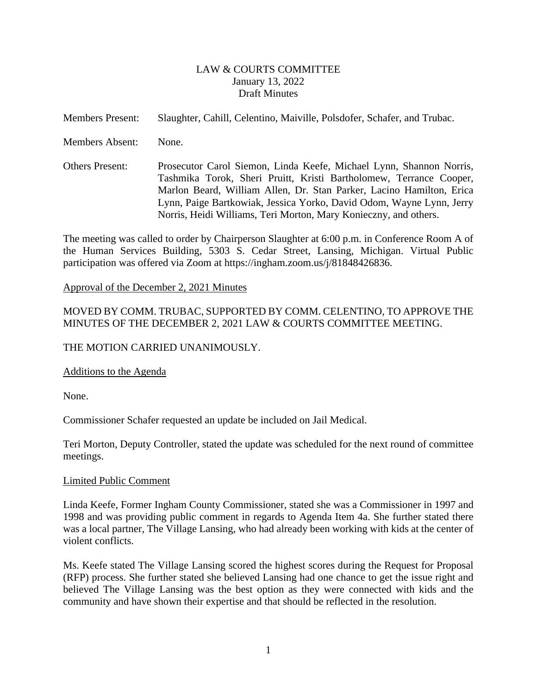### LAW & COURTS COMMITTEE January 13, 2022 Draft Minutes

<span id="page-1-0"></span>Members Present: Slaughter, Cahill, Celentino, Maiville, Polsdofer, Schafer, and Trubac.

Members Absent: None.

Others Present: Prosecutor Carol Siemon, Linda Keefe, Michael Lynn, Shannon Norris, Tashmika Torok, Sheri Pruitt, Kristi Bartholomew, Terrance Cooper, Marlon Beard, William Allen, Dr. Stan Parker, Lacino Hamilton, Erica Lynn, Paige Bartkowiak, Jessica Yorko, David Odom, Wayne Lynn, Jerry Norris, Heidi Williams, Teri Morton, Mary Konieczny, and others.

The meeting was called to order by Chairperson Slaughter at 6:00 p.m. in Conference Room A of the Human Services Building, 5303 S. Cedar Street, Lansing, Michigan. Virtual Public participation was offered via Zoom at https://ingham.zoom.us/j/81848426836.

### Approval of the December 2, 2021 Minutes

## MOVED BY COMM. TRUBAC, SUPPORTED BY COMM. CELENTINO, TO APPROVE THE MINUTES OF THE DECEMBER 2, 2021 LAW & COURTS COMMITTEE MEETING.

### THE MOTION CARRIED UNANIMOUSLY.

#### Additions to the Agenda

None.

Commissioner Schafer requested an update be included on Jail Medical.

Teri Morton, Deputy Controller, stated the update was scheduled for the next round of committee meetings.

#### Limited Public Comment

Linda Keefe, Former Ingham County Commissioner, stated she was a Commissioner in 1997 and 1998 and was providing public comment in regards to Agenda Item 4a. She further stated there was a local partner, The Village Lansing, who had already been working with kids at the center of violent conflicts.

Ms. Keefe stated The Village Lansing scored the highest scores during the Request for Proposal (RFP) process. She further stated she believed Lansing had one chance to get the issue right and believed The Village Lansing was the best option as they were connected with kids and the community and have shown their expertise and that should be reflected in the resolution.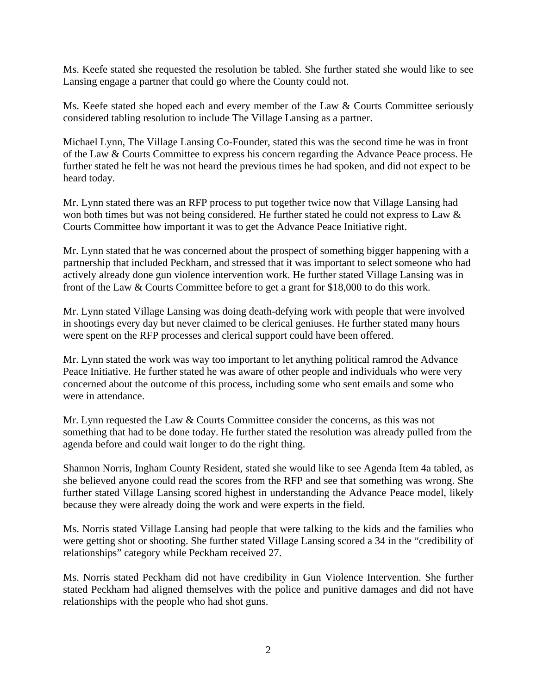Ms. Keefe stated she requested the resolution be tabled. She further stated she would like to see Lansing engage a partner that could go where the County could not.

Ms. Keefe stated she hoped each and every member of the Law & Courts Committee seriously considered tabling resolution to include The Village Lansing as a partner.

Michael Lynn, The Village Lansing Co-Founder, stated this was the second time he was in front of the Law & Courts Committee to express his concern regarding the Advance Peace process. He further stated he felt he was not heard the previous times he had spoken, and did not expect to be heard today.

Mr. Lynn stated there was an RFP process to put together twice now that Village Lansing had won both times but was not being considered. He further stated he could not express to Law & Courts Committee how important it was to get the Advance Peace Initiative right.

Mr. Lynn stated that he was concerned about the prospect of something bigger happening with a partnership that included Peckham, and stressed that it was important to select someone who had actively already done gun violence intervention work. He further stated Village Lansing was in front of the Law & Courts Committee before to get a grant for \$18,000 to do this work.

Mr. Lynn stated Village Lansing was doing death-defying work with people that were involved in shootings every day but never claimed to be clerical geniuses. He further stated many hours were spent on the RFP processes and clerical support could have been offered.

Mr. Lynn stated the work was way too important to let anything political ramrod the Advance Peace Initiative. He further stated he was aware of other people and individuals who were very concerned about the outcome of this process, including some who sent emails and some who were in attendance.

Mr. Lynn requested the Law & Courts Committee consider the concerns, as this was not something that had to be done today. He further stated the resolution was already pulled from the agenda before and could wait longer to do the right thing.

Shannon Norris, Ingham County Resident, stated she would like to see Agenda Item 4a tabled, as she believed anyone could read the scores from the RFP and see that something was wrong. She further stated Village Lansing scored highest in understanding the Advance Peace model, likely because they were already doing the work and were experts in the field.

Ms. Norris stated Village Lansing had people that were talking to the kids and the families who were getting shot or shooting. She further stated Village Lansing scored a 34 in the "credibility of relationships" category while Peckham received 27.

Ms. Norris stated Peckham did not have credibility in Gun Violence Intervention. She further stated Peckham had aligned themselves with the police and punitive damages and did not have relationships with the people who had shot guns.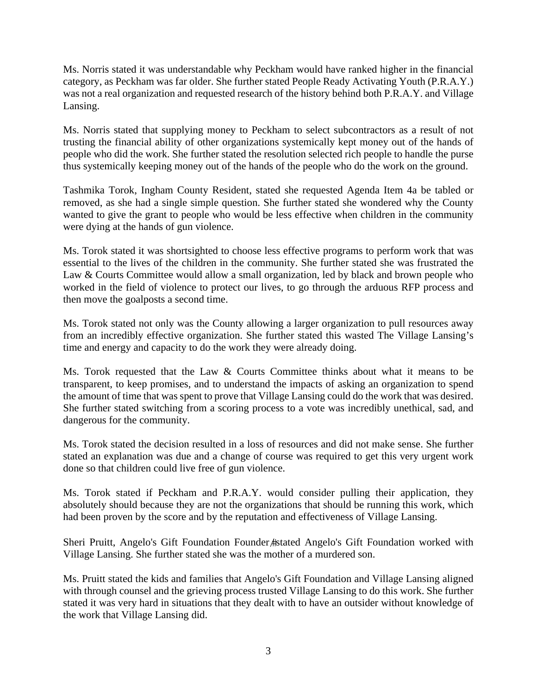Ms. Norris stated it was understandable why Peckham would have ranked higher in the financial category, as Peckham was far older. She further stated People Ready Activating Youth (P.R.A.Y.) was not a real organization and requested research of the history behind both P.R.A.Y. and Village Lansing.

Ms. Norris stated that supplying money to Peckham to select subcontractors as a result of not trusting the financial ability of other organizations systemically kept money out of the hands of people who did the work. She further stated the resolution selected rich people to handle the purse thus systemically keeping money out of the hands of the people who do the work on the ground.

Tashmika Torok, Ingham County Resident, stated she requested Agenda Item 4a be tabled or removed, as she had a single simple question. She further stated she wondered why the County wanted to give the grant to people who would be less effective when children in the community were dying at the hands of gun violence.

Ms. Torok stated it was shortsighted to choose less effective programs to perform work that was essential to the lives of the children in the community. She further stated she was frustrated the Law & Courts Committee would allow a small organization, led by black and brown people who worked in the field of violence to protect our lives, to go through the arduous RFP process and then move the goalposts a second time.

Ms. Torok stated not only was the County allowing a larger organization to pull resources away from an incredibly effective organization. She further stated this wasted The Village Lansing's time and energy and capacity to do the work they were already doing.

Ms. Torok requested that the Law & Courts Committee thinks about what it means to be transparent, to keep promises, and to understand the impacts of asking an organization to spend the amount of time that was spent to prove that Village Lansing could do the work that was desired. She further stated switching from a scoring process to a vote was incredibly unethical, sad, and dangerous for the community.

Ms. Torok stated the decision resulted in a loss of resources and did not make sense. She further stated an explanation was due and a change of course was required to get this very urgent work done so that children could live free of gun violence.

Ms. Torok stated if Peckham and P.R.A.Y. would consider pulling their application, they absolutely should because they are not the organizations that should be running this work, which had been proven by the score and by the reputation and effectiveness of Village Lansing.

Sheri Pruitt, Angelo's Gift Foundation Founder #stated Angelo's Gift Foundation worked with Village Lansing. She further stated she was the mother of a murdered son.

Ms. Pruitt stated the kids and families that Angelo's Gift Foundation and Village Lansing aligned with through counsel and the grieving process trusted Village Lansing to do this work. She further stated it was very hard in situations that they dealt with to have an outsider without knowledge of the work that Village Lansing did.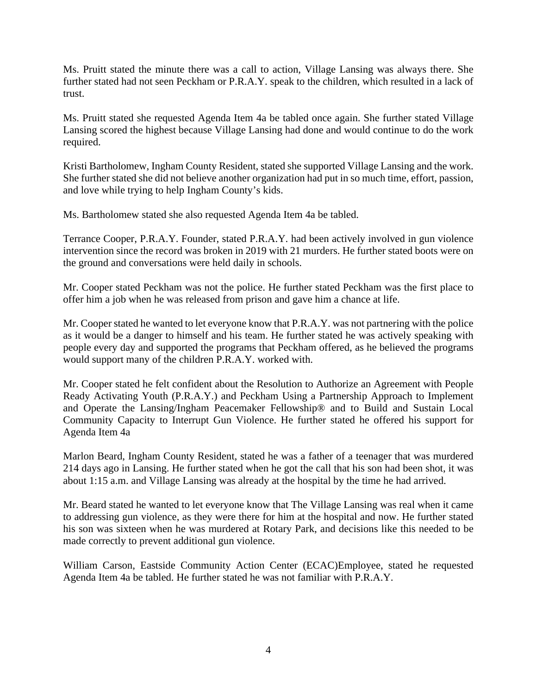Ms. Pruitt stated the minute there was a call to action, Village Lansing was always there. She further stated had not seen Peckham or P.R.A.Y. speak to the children, which resulted in a lack of trust.

Ms. Pruitt stated she requested Agenda Item 4a be tabled once again. She further stated Village Lansing scored the highest because Village Lansing had done and would continue to do the work required.

Kristi Bartholomew, Ingham County Resident, stated she supported Village Lansing and the work. She further stated she did not believe another organization had put in so much time, effort, passion, and love while trying to help Ingham County's kids.

Ms. Bartholomew stated she also requested Agenda Item 4a be tabled.

Terrance Cooper, P.R.A.Y. Founder, stated P.R.A.Y. had been actively involved in gun violence intervention since the record was broken in 2019 with 21 murders. He further stated boots were on the ground and conversations were held daily in schools.

Mr. Cooper stated Peckham was not the police. He further stated Peckham was the first place to offer him a job when he was released from prison and gave him a chance at life.

Mr. Cooper stated he wanted to let everyone know that P.R.A.Y. was not partnering with the police as it would be a danger to himself and his team. He further stated he was actively speaking with people every day and supported the programs that Peckham offered, as he believed the programs would support many of the children P.R.A.Y. worked with.

Mr. Cooper stated he felt confident about the Resolution to Authorize an Agreement with People Ready Activating Youth (P.R.A.Y.) and Peckham Using a Partnership Approach to Implement and Operate the Lansing/Ingham Peacemaker Fellowship® and to Build and Sustain Local Community Capacity to Interrupt Gun Violence. He further stated he offered his support for Agenda Item 4a

Marlon Beard, Ingham County Resident, stated he was a father of a teenager that was murdered 214 days ago in Lansing. He further stated when he got the call that his son had been shot, it was about 1:15 a.m. and Village Lansing was already at the hospital by the time he had arrived.

Mr. Beard stated he wanted to let everyone know that The Village Lansing was real when it came to addressing gun violence, as they were there for him at the hospital and now. He further stated his son was sixteen when he was murdered at Rotary Park, and decisions like this needed to be made correctly to prevent additional gun violence.

William Carson, Eastside Community Action Center (ECAC)Employee, stated he requested Agenda Item 4a be tabled. He further stated he was not familiar with P.R.A.Y.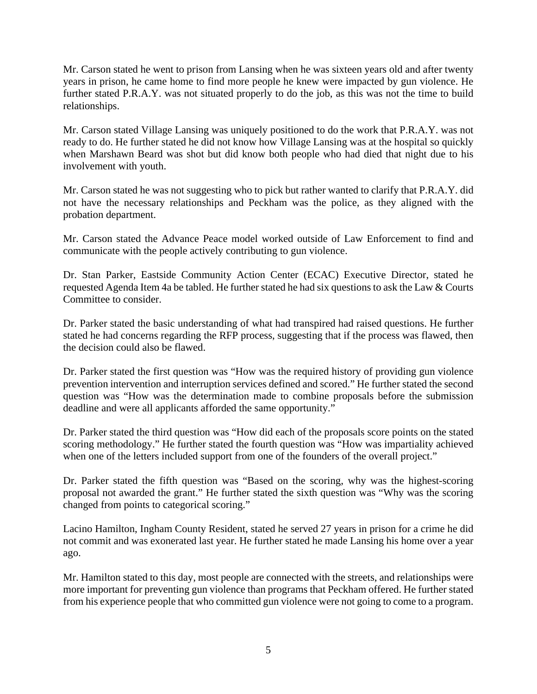Mr. Carson stated he went to prison from Lansing when he was sixteen years old and after twenty years in prison, he came home to find more people he knew were impacted by gun violence. He further stated P.R.A.Y. was not situated properly to do the job, as this was not the time to build relationships.

Mr. Carson stated Village Lansing was uniquely positioned to do the work that P.R.A.Y. was not ready to do. He further stated he did not know how Village Lansing was at the hospital so quickly when Marshawn Beard was shot but did know both people who had died that night due to his involvement with youth.

Mr. Carson stated he was not suggesting who to pick but rather wanted to clarify that P.R.A.Y. did not have the necessary relationships and Peckham was the police, as they aligned with the probation department.

Mr. Carson stated the Advance Peace model worked outside of Law Enforcement to find and communicate with the people actively contributing to gun violence.

Dr. Stan Parker, Eastside Community Action Center (ECAC) Executive Director, stated he requested Agenda Item 4a be tabled. He further stated he had six questions to ask the Law & Courts Committee to consider.

Dr. Parker stated the basic understanding of what had transpired had raised questions. He further stated he had concerns regarding the RFP process, suggesting that if the process was flawed, then the decision could also be flawed.

Dr. Parker stated the first question was "How was the required history of providing gun violence prevention intervention and interruption services defined and scored." He further stated the second question was "How was the determination made to combine proposals before the submission deadline and were all applicants afforded the same opportunity."

Dr. Parker stated the third question was "How did each of the proposals score points on the stated scoring methodology." He further stated the fourth question was "How was impartiality achieved when one of the letters included support from one of the founders of the overall project."

Dr. Parker stated the fifth question was "Based on the scoring, why was the highest-scoring proposal not awarded the grant." He further stated the sixth question was "Why was the scoring changed from points to categorical scoring."

Lacino Hamilton, Ingham County Resident, stated he served 27 years in prison for a crime he did not commit and was exonerated last year. He further stated he made Lansing his home over a year ago.

Mr. Hamilton stated to this day, most people are connected with the streets, and relationships were more important for preventing gun violence than programs that Peckham offered. He further stated from his experience people that who committed gun violence were not going to come to a program.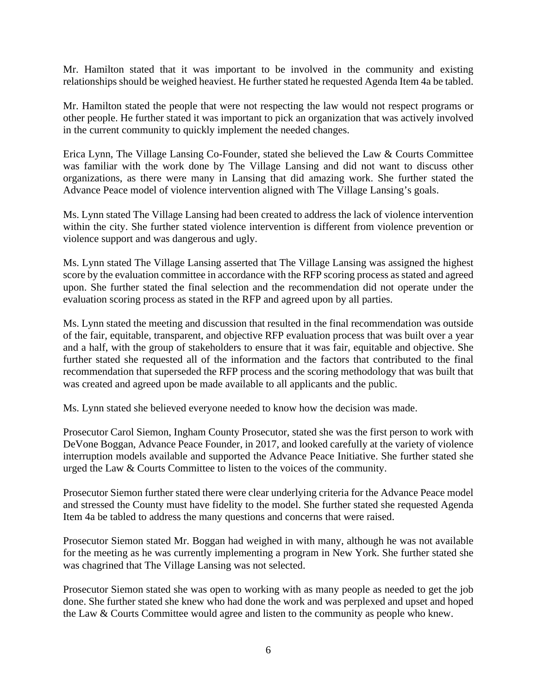Mr. Hamilton stated that it was important to be involved in the community and existing relationships should be weighed heaviest. He further stated he requested Agenda Item 4a be tabled.

Mr. Hamilton stated the people that were not respecting the law would not respect programs or other people. He further stated it was important to pick an organization that was actively involved in the current community to quickly implement the needed changes.

Erica Lynn, The Village Lansing Co-Founder, stated she believed the Law & Courts Committee was familiar with the work done by The Village Lansing and did not want to discuss other organizations, as there were many in Lansing that did amazing work. She further stated the Advance Peace model of violence intervention aligned with The Village Lansing's goals.

Ms. Lynn stated The Village Lansing had been created to address the lack of violence intervention within the city. She further stated violence intervention is different from violence prevention or violence support and was dangerous and ugly.

Ms. Lynn stated The Village Lansing asserted that The Village Lansing was assigned the highest score by the evaluation committee in accordance with the RFP scoring process as stated and agreed upon. She further stated the final selection and the recommendation did not operate under the evaluation scoring process as stated in the RFP and agreed upon by all parties.

Ms. Lynn stated the meeting and discussion that resulted in the final recommendation was outside of the fair, equitable, transparent, and objective RFP evaluation process that was built over a year and a half, with the group of stakeholders to ensure that it was fair, equitable and objective. She further stated she requested all of the information and the factors that contributed to the final recommendation that superseded the RFP process and the scoring methodology that was built that was created and agreed upon be made available to all applicants and the public.

Ms. Lynn stated she believed everyone needed to know how the decision was made.

Prosecutor Carol Siemon, Ingham County Prosecutor, stated she was the first person to work with DeVone Boggan, Advance Peace Founder, in 2017, and looked carefully at the variety of violence interruption models available and supported the Advance Peace Initiative. She further stated she urged the Law & Courts Committee to listen to the voices of the community.

Prosecutor Siemon further stated there were clear underlying criteria for the Advance Peace model and stressed the County must have fidelity to the model. She further stated she requested Agenda Item 4a be tabled to address the many questions and concerns that were raised.

Prosecutor Siemon stated Mr. Boggan had weighed in with many, although he was not available for the meeting as he was currently implementing a program in New York. She further stated she was chagrined that The Village Lansing was not selected.

Prosecutor Siemon stated she was open to working with as many people as needed to get the job done. She further stated she knew who had done the work and was perplexed and upset and hoped the Law & Courts Committee would agree and listen to the community as people who knew.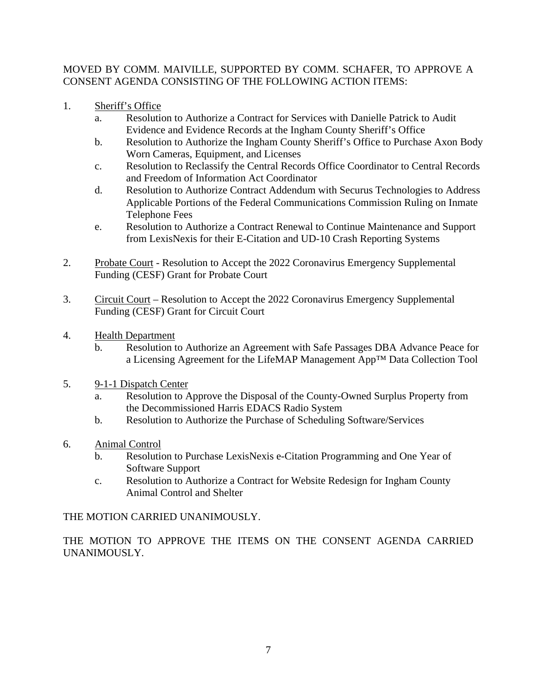# MOVED BY COMM. MAIVILLE, SUPPORTED BY COMM. SCHAFER, TO APPROVE A CONSENT AGENDA CONSISTING OF THE FOLLOWING ACTION ITEMS:

- 1. Sheriff's Office
	- a. Resolution to Authorize a Contract for Services with Danielle Patrick to Audit Evidence and Evidence Records at the Ingham County Sheriff's Office
	- b. Resolution to Authorize the Ingham County Sheriff's Office to Purchase Axon Body Worn Cameras, Equipment, and Licenses
	- c. Resolution to Reclassify the Central Records Office Coordinator to Central Records and Freedom of Information Act Coordinator
	- d. Resolution to Authorize Contract Addendum with Securus Technologies to Address Applicable Portions of the Federal Communications Commission Ruling on Inmate Telephone Fees
	- e. Resolution to Authorize a Contract Renewal to Continue Maintenance and Support from LexisNexis for their E-Citation and UD-10 Crash Reporting Systems
- 2. Probate Court Resolution to Accept the 2022 Coronavirus Emergency Supplemental Funding (CESF) Grant for Probate Court
- 3. Circuit Court Resolution to Accept the 2022 Coronavirus Emergency Supplemental Funding (CESF) Grant for Circuit Court
- 4. Health Department
	- b. Resolution to Authorize an Agreement with Safe Passages DBA Advance Peace for a Licensing Agreement for the LifeMAP Management App™ Data Collection Tool
- 5. 9-1-1 Dispatch Center
	- a. Resolution to Approve the Disposal of the County-Owned Surplus Property from the Decommissioned Harris EDACS Radio System
	- b. Resolution to Authorize the Purchase of Scheduling Software/Services
- 6. Animal Control
	- b. Resolution to Purchase LexisNexis e-Citation Programming and One Year of Software Support
	- c. Resolution to Authorize a Contract for Website Redesign for Ingham County Animal Control and Shelter

THE MOTION CARRIED UNANIMOUSLY.

THE MOTION TO APPROVE THE ITEMS ON THE CONSENT AGENDA CARRIED UNANIMOUSLY.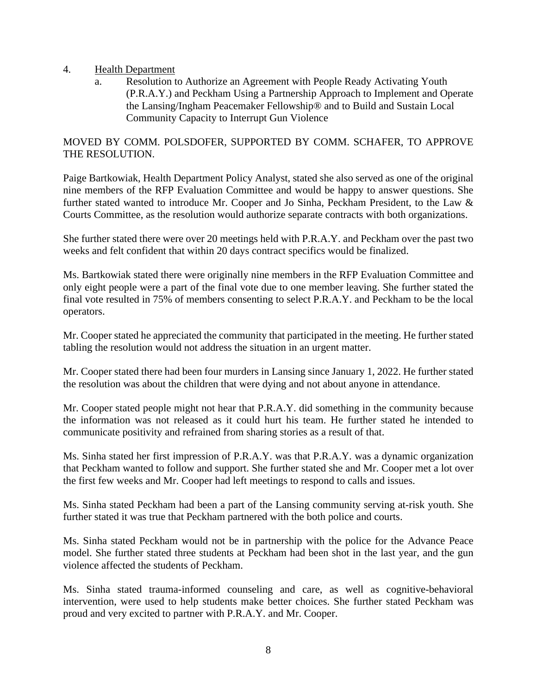### 4. Health Department

a. Resolution to Authorize an Agreement with People Ready Activating Youth (P.R.A.Y.) and Peckham Using a Partnership Approach to Implement and Operate the Lansing/Ingham Peacemaker Fellowship® and to Build and Sustain Local Community Capacity to Interrupt Gun Violence

# MOVED BY COMM. POLSDOFER, SUPPORTED BY COMM. SCHAFER, TO APPROVE THE RESOLUTION.

Paige Bartkowiak, Health Department Policy Analyst, stated she also served as one of the original nine members of the RFP Evaluation Committee and would be happy to answer questions. She further stated wanted to introduce Mr. Cooper and Jo Sinha, Peckham President, to the Law & Courts Committee, as the resolution would authorize separate contracts with both organizations.

She further stated there were over 20 meetings held with P.R.A.Y. and Peckham over the past two weeks and felt confident that within 20 days contract specifics would be finalized.

Ms. Bartkowiak stated there were originally nine members in the RFP Evaluation Committee and only eight people were a part of the final vote due to one member leaving. She further stated the final vote resulted in 75% of members consenting to select P.R.A.Y. and Peckham to be the local operators.

Mr. Cooper stated he appreciated the community that participated in the meeting. He further stated tabling the resolution would not address the situation in an urgent matter.

Mr. Cooper stated there had been four murders in Lansing since January 1, 2022. He further stated the resolution was about the children that were dying and not about anyone in attendance.

Mr. Cooper stated people might not hear that P.R.A.Y. did something in the community because the information was not released as it could hurt his team. He further stated he intended to communicate positivity and refrained from sharing stories as a result of that.

Ms. Sinha stated her first impression of P.R.A.Y. was that P.R.A.Y. was a dynamic organization that Peckham wanted to follow and support. She further stated she and Mr. Cooper met a lot over the first few weeks and Mr. Cooper had left meetings to respond to calls and issues.

Ms. Sinha stated Peckham had been a part of the Lansing community serving at-risk youth. She further stated it was true that Peckham partnered with the both police and courts.

Ms. Sinha stated Peckham would not be in partnership with the police for the Advance Peace model. She further stated three students at Peckham had been shot in the last year, and the gun violence affected the students of Peckham.

Ms. Sinha stated trauma-informed counseling and care, as well as cognitive-behavioral intervention, were used to help students make better choices. She further stated Peckham was proud and very excited to partner with P.R.A.Y. and Mr. Cooper.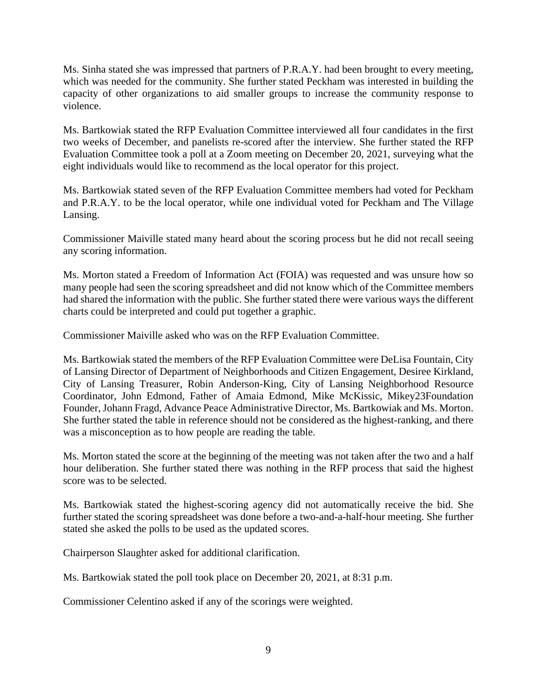Ms. Sinha stated she was impressed that partners of P.R.A.Y. had been brought to every meeting, which was needed for the community. She further stated Peckham was interested in building the capacity of other organizations to aid smaller groups to increase the community response to violence.

Ms. Bartkowiak stated the RFP Evaluation Committee interviewed all four candidates in the first two weeks of December, and panelists re-scored after the interview. She further stated the RFP Evaluation Committee took a poll at a Zoom meeting on December 20, 2021, surveying what the eight individuals would like to recommend as the local operator for this project.

Ms. Bartkowiak stated seven of the RFP Evaluation Committee members had voted for Peckham and P.R.A.Y. to be the local operator, while one individual voted for Peckham and The Village Lansing.

Commissioner Maiville stated many heard about the scoring process but he did not recall seeing any scoring information.

Ms. Morton stated a Freedom of Information Act (FOIA) was requested and was unsure how so many people had seen the scoring spreadsheet and did not know which of the Committee members had shared the information with the public. She further stated there were various ways the different charts could be interpreted and could put together a graphic.

Commissioner Maiville asked who was on the RFP Evaluation Committee.

Ms. Bartkowiak stated the members of the RFP Evaluation Committee were DeLisa Fountain, City of Lansing Director of Department of Neighborhoods and Citizen Engagement, Desiree Kirkland, City of Lansing Treasurer, Robin Anderson-King, City of Lansing Neighborhood Resource Coordinator, John Edmond, Father of Amaia Edmond, Mike McKissic, Mikey23Foundation Founder, Johann Fragd, Advance Peace Administrative Director, Ms. Bartkowiak and Ms. Morton. She further stated the table in reference should not be considered as the highest-ranking, and there was a misconception as to how people are reading the table.

Ms. Morton stated the score at the beginning of the meeting was not taken after the two and a half hour deliberation. She further stated there was nothing in the RFP process that said the highest score was to be selected.

Ms. Bartkowiak stated the highest-scoring agency did not automatically receive the bid. She further stated the scoring spreadsheet was done before a two-and-a-half-hour meeting. She further stated she asked the polls to be used as the updated scores.

Chairperson Slaughter asked for additional clarification.

Ms. Bartkowiak stated the poll took place on December 20, 2021, at 8:31 p.m.

Commissioner Celentino asked if any of the scorings were weighted.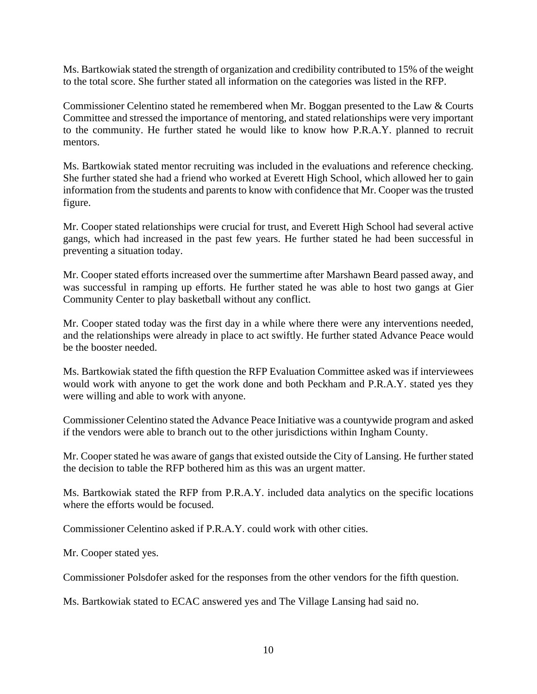Ms. Bartkowiak stated the strength of organization and credibility contributed to 15% of the weight to the total score. She further stated all information on the categories was listed in the RFP.

Commissioner Celentino stated he remembered when Mr. Boggan presented to the Law & Courts Committee and stressed the importance of mentoring, and stated relationships were very important to the community. He further stated he would like to know how P.R.A.Y. planned to recruit mentors.

Ms. Bartkowiak stated mentor recruiting was included in the evaluations and reference checking. She further stated she had a friend who worked at Everett High School, which allowed her to gain information from the students and parents to know with confidence that Mr. Cooper was the trusted figure.

Mr. Cooper stated relationships were crucial for trust, and Everett High School had several active gangs, which had increased in the past few years. He further stated he had been successful in preventing a situation today.

Mr. Cooper stated efforts increased over the summertime after Marshawn Beard passed away, and was successful in ramping up efforts. He further stated he was able to host two gangs at Gier Community Center to play basketball without any conflict.

Mr. Cooper stated today was the first day in a while where there were any interventions needed, and the relationships were already in place to act swiftly. He further stated Advance Peace would be the booster needed.

Ms. Bartkowiak stated the fifth question the RFP Evaluation Committee asked was if interviewees would work with anyone to get the work done and both Peckham and P.R.A.Y. stated yes they were willing and able to work with anyone.

Commissioner Celentino stated the Advance Peace Initiative was a countywide program and asked if the vendors were able to branch out to the other jurisdictions within Ingham County.

Mr. Cooper stated he was aware of gangs that existed outside the City of Lansing. He further stated the decision to table the RFP bothered him as this was an urgent matter.

Ms. Bartkowiak stated the RFP from P.R.A.Y. included data analytics on the specific locations where the efforts would be focused.

Commissioner Celentino asked if P.R.A.Y. could work with other cities.

Mr. Cooper stated yes.

Commissioner Polsdofer asked for the responses from the other vendors for the fifth question.

Ms. Bartkowiak stated to ECAC answered yes and The Village Lansing had said no.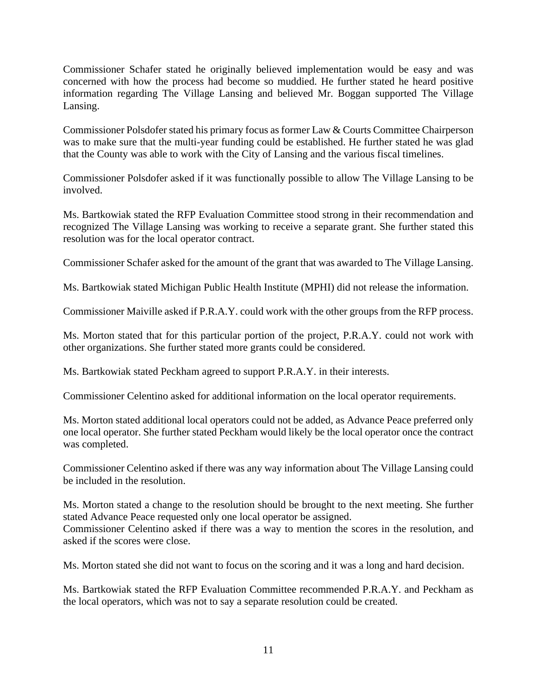Commissioner Schafer stated he originally believed implementation would be easy and was concerned with how the process had become so muddied. He further stated he heard positive information regarding The Village Lansing and believed Mr. Boggan supported The Village Lansing.

Commissioner Polsdofer stated his primary focus as former Law & Courts Committee Chairperson was to make sure that the multi-year funding could be established. He further stated he was glad that the County was able to work with the City of Lansing and the various fiscal timelines.

Commissioner Polsdofer asked if it was functionally possible to allow The Village Lansing to be involved.

Ms. Bartkowiak stated the RFP Evaluation Committee stood strong in their recommendation and recognized The Village Lansing was working to receive a separate grant. She further stated this resolution was for the local operator contract.

Commissioner Schafer asked for the amount of the grant that was awarded to The Village Lansing.

Ms. Bartkowiak stated Michigan Public Health Institute (MPHI) did not release the information.

Commissioner Maiville asked if P.R.A.Y. could work with the other groups from the RFP process.

Ms. Morton stated that for this particular portion of the project, P.R.A.Y. could not work with other organizations. She further stated more grants could be considered.

Ms. Bartkowiak stated Peckham agreed to support P.R.A.Y. in their interests.

Commissioner Celentino asked for additional information on the local operator requirements.

Ms. Morton stated additional local operators could not be added, as Advance Peace preferred only one local operator. She further stated Peckham would likely be the local operator once the contract was completed.

Commissioner Celentino asked if there was any way information about The Village Lansing could be included in the resolution.

Ms. Morton stated a change to the resolution should be brought to the next meeting. She further stated Advance Peace requested only one local operator be assigned. Commissioner Celentino asked if there was a way to mention the scores in the resolution, and asked if the scores were close.

Ms. Morton stated she did not want to focus on the scoring and it was a long and hard decision.

Ms. Bartkowiak stated the RFP Evaluation Committee recommended P.R.A.Y. and Peckham as the local operators, which was not to say a separate resolution could be created.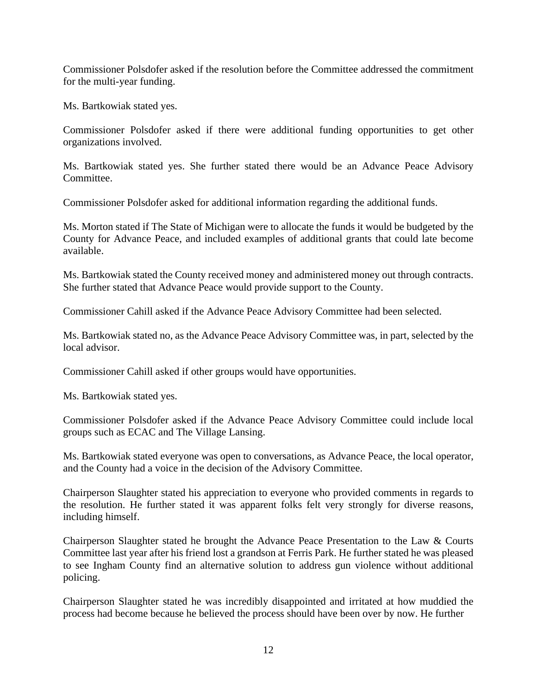Commissioner Polsdofer asked if the resolution before the Committee addressed the commitment for the multi-year funding.

Ms. Bartkowiak stated yes.

Commissioner Polsdofer asked if there were additional funding opportunities to get other organizations involved.

Ms. Bartkowiak stated yes. She further stated there would be an Advance Peace Advisory Committee.

Commissioner Polsdofer asked for additional information regarding the additional funds.

Ms. Morton stated if The State of Michigan were to allocate the funds it would be budgeted by the County for Advance Peace, and included examples of additional grants that could late become available.

Ms. Bartkowiak stated the County received money and administered money out through contracts. She further stated that Advance Peace would provide support to the County.

Commissioner Cahill asked if the Advance Peace Advisory Committee had been selected.

Ms. Bartkowiak stated no, as the Advance Peace Advisory Committee was, in part, selected by the local advisor.

Commissioner Cahill asked if other groups would have opportunities.

Ms. Bartkowiak stated yes.

Commissioner Polsdofer asked if the Advance Peace Advisory Committee could include local groups such as ECAC and The Village Lansing.

Ms. Bartkowiak stated everyone was open to conversations, as Advance Peace, the local operator, and the County had a voice in the decision of the Advisory Committee.

Chairperson Slaughter stated his appreciation to everyone who provided comments in regards to the resolution. He further stated it was apparent folks felt very strongly for diverse reasons, including himself.

Chairperson Slaughter stated he brought the Advance Peace Presentation to the Law & Courts Committee last year after his friend lost a grandson at Ferris Park. He further stated he was pleased to see Ingham County find an alternative solution to address gun violence without additional policing.

Chairperson Slaughter stated he was incredibly disappointed and irritated at how muddied the process had become because he believed the process should have been over by now. He further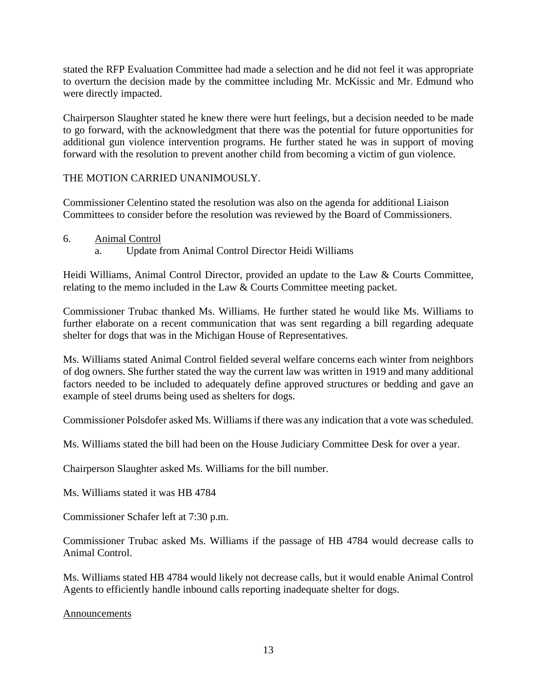stated the RFP Evaluation Committee had made a selection and he did not feel it was appropriate to overturn the decision made by the committee including Mr. McKissic and Mr. Edmund who were directly impacted.

Chairperson Slaughter stated he knew there were hurt feelings, but a decision needed to be made to go forward, with the acknowledgment that there was the potential for future opportunities for additional gun violence intervention programs. He further stated he was in support of moving forward with the resolution to prevent another child from becoming a victim of gun violence.

### THE MOTION CARRIED UNANIMOUSLY.

Commissioner Celentino stated the resolution was also on the agenda for additional Liaison Committees to consider before the resolution was reviewed by the Board of Commissioners.

- 6. Animal Control
	- a. Update from Animal Control Director Heidi Williams

Heidi Williams, Animal Control Director, provided an update to the Law & Courts Committee, relating to the memo included in the Law & Courts Committee meeting packet.

Commissioner Trubac thanked Ms. Williams. He further stated he would like Ms. Williams to further elaborate on a recent communication that was sent regarding a bill regarding adequate shelter for dogs that was in the Michigan House of Representatives.

Ms. Williams stated Animal Control fielded several welfare concerns each winter from neighbors of dog owners. She further stated the way the current law was written in 1919 and many additional factors needed to be included to adequately define approved structures or bedding and gave an example of steel drums being used as shelters for dogs.

Commissioner Polsdofer asked Ms. Williams if there was any indication that a vote was scheduled.

Ms. Williams stated the bill had been on the House Judiciary Committee Desk for over a year.

Chairperson Slaughter asked Ms. Williams for the bill number.

Ms. Williams stated it was HB 4784

Commissioner Schafer left at 7:30 p.m.

Commissioner Trubac asked Ms. Williams if the passage of HB 4784 would decrease calls to Animal Control.

Ms. Williams stated HB 4784 would likely not decrease calls, but it would enable Animal Control Agents to efficiently handle inbound calls reporting inadequate shelter for dogs.

#### Announcements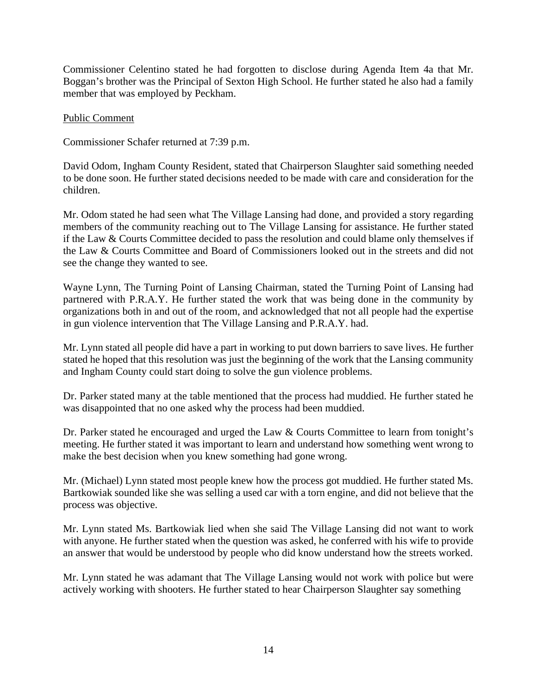Commissioner Celentino stated he had forgotten to disclose during Agenda Item 4a that Mr. Boggan's brother was the Principal of Sexton High School. He further stated he also had a family member that was employed by Peckham.

### Public Comment

Commissioner Schafer returned at 7:39 p.m.

David Odom, Ingham County Resident, stated that Chairperson Slaughter said something needed to be done soon. He further stated decisions needed to be made with care and consideration for the children.

Mr. Odom stated he had seen what The Village Lansing had done, and provided a story regarding members of the community reaching out to The Village Lansing for assistance. He further stated if the Law & Courts Committee decided to pass the resolution and could blame only themselves if the Law & Courts Committee and Board of Commissioners looked out in the streets and did not see the change they wanted to see.

Wayne Lynn, The Turning Point of Lansing Chairman, stated the Turning Point of Lansing had partnered with P.R.A.Y. He further stated the work that was being done in the community by organizations both in and out of the room, and acknowledged that not all people had the expertise in gun violence intervention that The Village Lansing and P.R.A.Y. had.

Mr. Lynn stated all people did have a part in working to put down barriers to save lives. He further stated he hoped that this resolution was just the beginning of the work that the Lansing community and Ingham County could start doing to solve the gun violence problems.

Dr. Parker stated many at the table mentioned that the process had muddied. He further stated he was disappointed that no one asked why the process had been muddied.

Dr. Parker stated he encouraged and urged the Law & Courts Committee to learn from tonight's meeting. He further stated it was important to learn and understand how something went wrong to make the best decision when you knew something had gone wrong.

Mr. (Michael) Lynn stated most people knew how the process got muddied. He further stated Ms. Bartkowiak sounded like she was selling a used car with a torn engine, and did not believe that the process was objective.

Mr. Lynn stated Ms. Bartkowiak lied when she said The Village Lansing did not want to work with anyone. He further stated when the question was asked, he conferred with his wife to provide an answer that would be understood by people who did know understand how the streets worked.

Mr. Lynn stated he was adamant that The Village Lansing would not work with police but were actively working with shooters. He further stated to hear Chairperson Slaughter say something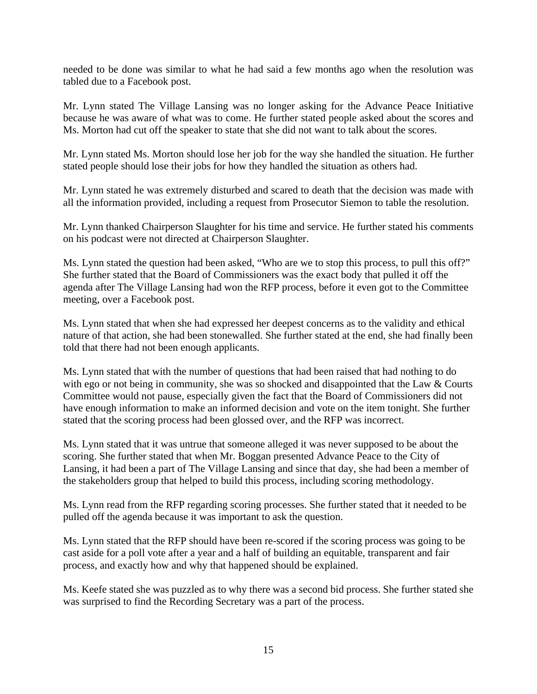needed to be done was similar to what he had said a few months ago when the resolution was tabled due to a Facebook post.

Mr. Lynn stated The Village Lansing was no longer asking for the Advance Peace Initiative because he was aware of what was to come. He further stated people asked about the scores and Ms. Morton had cut off the speaker to state that she did not want to talk about the scores.

Mr. Lynn stated Ms. Morton should lose her job for the way she handled the situation. He further stated people should lose their jobs for how they handled the situation as others had.

Mr. Lynn stated he was extremely disturbed and scared to death that the decision was made with all the information provided, including a request from Prosecutor Siemon to table the resolution.

Mr. Lynn thanked Chairperson Slaughter for his time and service. He further stated his comments on his podcast were not directed at Chairperson Slaughter.

Ms. Lynn stated the question had been asked, "Who are we to stop this process, to pull this off?" She further stated that the Board of Commissioners was the exact body that pulled it off the agenda after The Village Lansing had won the RFP process, before it even got to the Committee meeting, over a Facebook post.

Ms. Lynn stated that when she had expressed her deepest concerns as to the validity and ethical nature of that action, she had been stonewalled. She further stated at the end, she had finally been told that there had not been enough applicants.

Ms. Lynn stated that with the number of questions that had been raised that had nothing to do with ego or not being in community, she was so shocked and disappointed that the Law & Courts Committee would not pause, especially given the fact that the Board of Commissioners did not have enough information to make an informed decision and vote on the item tonight. She further stated that the scoring process had been glossed over, and the RFP was incorrect.

Ms. Lynn stated that it was untrue that someone alleged it was never supposed to be about the scoring. She further stated that when Mr. Boggan presented Advance Peace to the City of Lansing, it had been a part of The Village Lansing and since that day, she had been a member of the stakeholders group that helped to build this process, including scoring methodology.

Ms. Lynn read from the RFP regarding scoring processes. She further stated that it needed to be pulled off the agenda because it was important to ask the question.

Ms. Lynn stated that the RFP should have been re-scored if the scoring process was going to be cast aside for a poll vote after a year and a half of building an equitable, transparent and fair process, and exactly how and why that happened should be explained.

Ms. Keefe stated she was puzzled as to why there was a second bid process. She further stated she was surprised to find the Recording Secretary was a part of the process.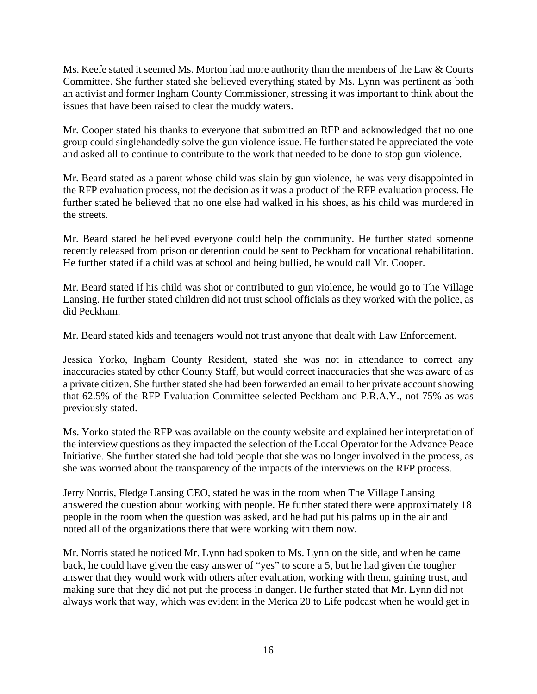Ms. Keefe stated it seemed Ms. Morton had more authority than the members of the Law & Courts Committee. She further stated she believed everything stated by Ms. Lynn was pertinent as both an activist and former Ingham County Commissioner, stressing it was important to think about the issues that have been raised to clear the muddy waters.

Mr. Cooper stated his thanks to everyone that submitted an RFP and acknowledged that no one group could singlehandedly solve the gun violence issue. He further stated he appreciated the vote and asked all to continue to contribute to the work that needed to be done to stop gun violence.

Mr. Beard stated as a parent whose child was slain by gun violence, he was very disappointed in the RFP evaluation process, not the decision as it was a product of the RFP evaluation process. He further stated he believed that no one else had walked in his shoes, as his child was murdered in the streets.

Mr. Beard stated he believed everyone could help the community. He further stated someone recently released from prison or detention could be sent to Peckham for vocational rehabilitation. He further stated if a child was at school and being bullied, he would call Mr. Cooper.

Mr. Beard stated if his child was shot or contributed to gun violence, he would go to The Village Lansing. He further stated children did not trust school officials as they worked with the police, as did Peckham.

Mr. Beard stated kids and teenagers would not trust anyone that dealt with Law Enforcement.

Jessica Yorko, Ingham County Resident, stated she was not in attendance to correct any inaccuracies stated by other County Staff, but would correct inaccuracies that she was aware of as a private citizen. She further stated she had been forwarded an email to her private account showing that 62.5% of the RFP Evaluation Committee selected Peckham and P.R.A.Y., not 75% as was previously stated.

Ms. Yorko stated the RFP was available on the county website and explained her interpretation of the interview questions as they impacted the selection of the Local Operator for the Advance Peace Initiative. She further stated she had told people that she was no longer involved in the process, as she was worried about the transparency of the impacts of the interviews on the RFP process.

Jerry Norris, Fledge Lansing CEO, stated he was in the room when The Village Lansing answered the question about working with people. He further stated there were approximately 18 people in the room when the question was asked, and he had put his palms up in the air and noted all of the organizations there that were working with them now.

Mr. Norris stated he noticed Mr. Lynn had spoken to Ms. Lynn on the side, and when he came back, he could have given the easy answer of "yes" to score a 5, but he had given the tougher answer that they would work with others after evaluation, working with them, gaining trust, and making sure that they did not put the process in danger. He further stated that Mr. Lynn did not always work that way, which was evident in the Merica 20 to Life podcast when he would get in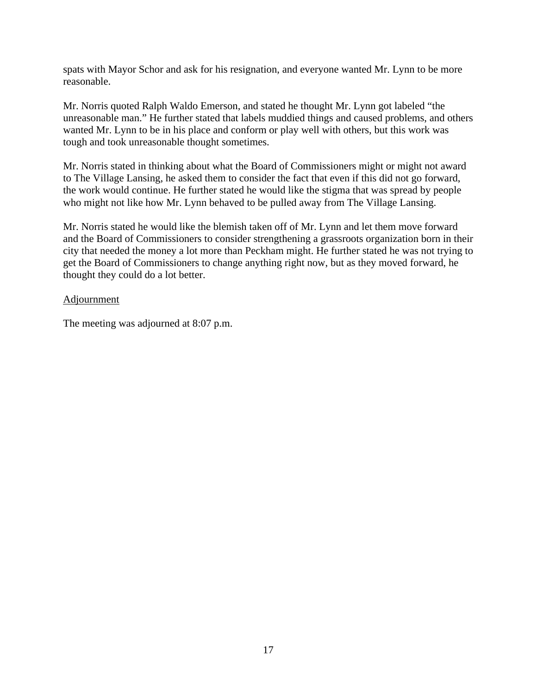spats with Mayor Schor and ask for his resignation, and everyone wanted Mr. Lynn to be more reasonable.

Mr. Norris quoted Ralph Waldo Emerson, and stated he thought Mr. Lynn got labeled "the unreasonable man." He further stated that labels muddied things and caused problems, and others wanted Mr. Lynn to be in his place and conform or play well with others, but this work was tough and took unreasonable thought sometimes.

Mr. Norris stated in thinking about what the Board of Commissioners might or might not award to The Village Lansing, he asked them to consider the fact that even if this did not go forward, the work would continue. He further stated he would like the stigma that was spread by people who might not like how Mr. Lynn behaved to be pulled away from The Village Lansing.

Mr. Norris stated he would like the blemish taken off of Mr. Lynn and let them move forward and the Board of Commissioners to consider strengthening a grassroots organization born in their city that needed the money a lot more than Peckham might. He further stated he was not trying to get the Board of Commissioners to change anything right now, but as they moved forward, he thought they could do a lot better.

### Adjournment

The meeting was adjourned at 8:07 p.m.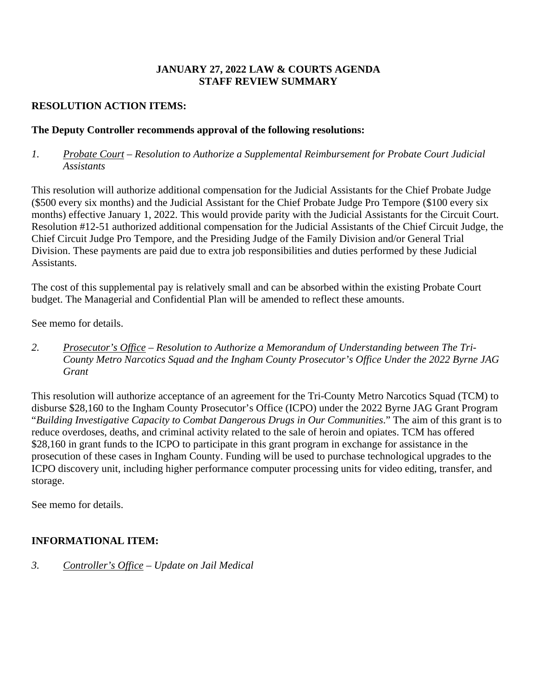# **JANUARY 27, 2022 LAW & COURTS AGENDA STAFF REVIEW SUMMARY**

# **RESOLUTION ACTION ITEMS:**

# **The Deputy Controller recommends approval of the following resolutions:**

# *1. Probate Court – Resolution to Authorize a Supplemental Reimbursement for Probate Court Judicial Assistants*

This resolution will authorize additional compensation for the Judicial Assistants for the Chief Probate Judge (\$500 every six months) and the Judicial Assistant for the Chief Probate Judge Pro Tempore (\$100 every six months) effective January 1, 2022. This would provide parity with the Judicial Assistants for the Circuit Court. Resolution #12-51 authorized additional compensation for the Judicial Assistants of the Chief Circuit Judge, the Chief Circuit Judge Pro Tempore, and the Presiding Judge of the Family Division and/or General Trial Division. These payments are paid due to extra job responsibilities and duties performed by these Judicial Assistants.

The cost of this supplemental pay is relatively small and can be absorbed within the existing Probate Court budget. The Managerial and Confidential Plan will be amended to reflect these amounts.

See memo for details.

*2. Prosecutor's Office – Resolution to Authorize a Memorandum of Understanding between The Tri-County Metro Narcotics Squad and the Ingham County Prosecutor's Office Under the 2022 Byrne JAG Grant* 

This resolution will authorize acceptance of an agreement for the Tri-County Metro Narcotics Squad (TCM) to disburse \$28,160 to the Ingham County Prosecutor's Office (ICPO) under the 2022 Byrne JAG Grant Program "*Building Investigative Capacity to Combat Dangerous Drugs in Our Communities*." The aim of this grant is to reduce overdoses, deaths, and criminal activity related to the sale of heroin and opiates. TCM has offered \$28,160 in grant funds to the ICPO to participate in this grant program in exchange for assistance in the prosecution of these cases in Ingham County. Funding will be used to purchase technological upgrades to the ICPO discovery unit, including higher performance computer processing units for video editing, transfer, and storage.

See memo for details.

# **INFORMATIONAL ITEM:**

*3. Controller's Office – Update on Jail Medical*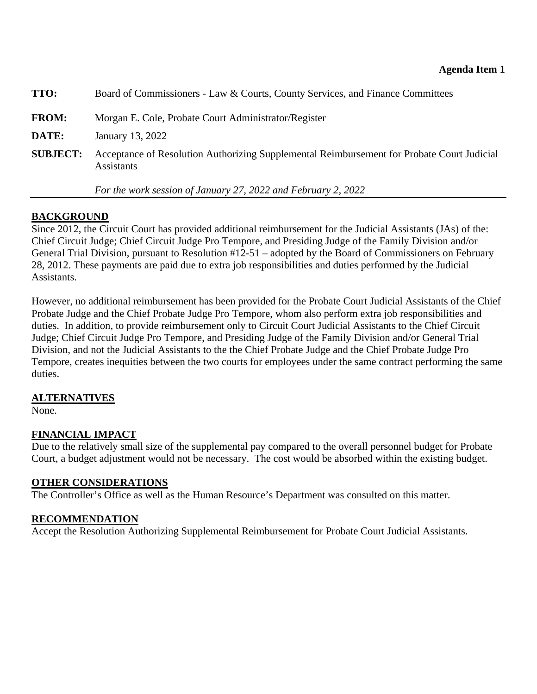<span id="page-19-0"></span>

| <b>TTO:</b>     | Board of Commissioners - Law & Courts, County Services, and Finance Committees                                  |
|-----------------|-----------------------------------------------------------------------------------------------------------------|
| <b>FROM:</b>    | Morgan E. Cole, Probate Court Administrator/Register                                                            |
| <b>DATE:</b>    | January 13, 2022                                                                                                |
| <b>SUBJECT:</b> | Acceptance of Resolution Authorizing Supplemental Reimbursement for Probate Court Judicial<br><b>Assistants</b> |

 *For the work session of January 27, 2022 and February 2, 2022* 

# **BACKGROUND**

Since 2012, the Circuit Court has provided additional reimbursement for the Judicial Assistants (JAs) of the: Chief Circuit Judge; Chief Circuit Judge Pro Tempore, and Presiding Judge of the Family Division and/or General Trial Division, pursuant to Resolution #12-51 – adopted by the Board of Commissioners on February 28, 2012. These payments are paid due to extra job responsibilities and duties performed by the Judicial Assistants.

However, no additional reimbursement has been provided for the Probate Court Judicial Assistants of the Chief Probate Judge and the Chief Probate Judge Pro Tempore, whom also perform extra job responsibilities and duties. In addition, to provide reimbursement only to Circuit Court Judicial Assistants to the Chief Circuit Judge; Chief Circuit Judge Pro Tempore, and Presiding Judge of the Family Division and/or General Trial Division, and not the Judicial Assistants to the the Chief Probate Judge and the Chief Probate Judge Pro Tempore, creates inequities between the two courts for employees under the same contract performing the same duties.

# **ALTERNATIVES**

None.

# **FINANCIAL IMPACT**

Due to the relatively small size of the supplemental pay compared to the overall personnel budget for Probate Court, a budget adjustment would not be necessary. The cost would be absorbed within the existing budget.

# **OTHER CONSIDERATIONS**

The Controller's Office as well as the Human Resource's Department was consulted on this matter.

# **RECOMMENDATION**

Accept the Resolution Authorizing Supplemental Reimbursement for Probate Court Judicial Assistants.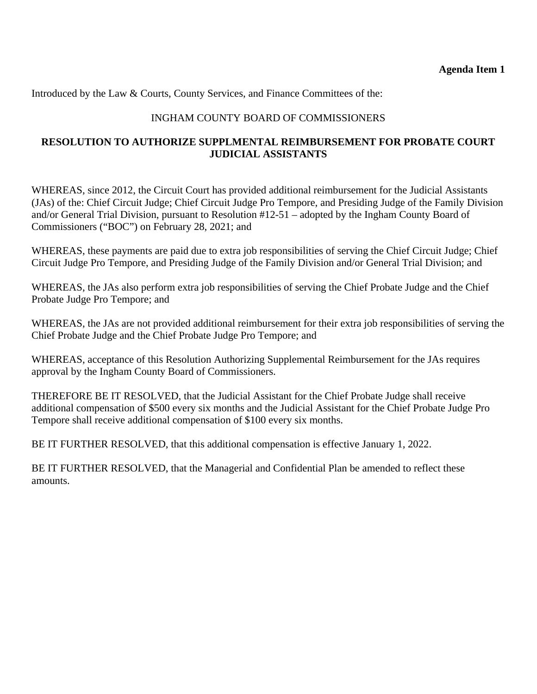Introduced by the Law & Courts, County Services, and Finance Committees of the:

# INGHAM COUNTY BOARD OF COMMISSIONERS

# **RESOLUTION TO AUTHORIZE SUPPLMENTAL REIMBURSEMENT FOR PROBATE COURT JUDICIAL ASSISTANTS**

WHEREAS, since 2012, the Circuit Court has provided additional reimbursement for the Judicial Assistants (JAs) of the: Chief Circuit Judge; Chief Circuit Judge Pro Tempore, and Presiding Judge of the Family Division and/or General Trial Division, pursuant to Resolution #12-51 – adopted by the Ingham County Board of Commissioners ("BOC") on February 28, 2021; and

WHEREAS, these payments are paid due to extra job responsibilities of serving the Chief Circuit Judge; Chief Circuit Judge Pro Tempore, and Presiding Judge of the Family Division and/or General Trial Division; and

WHEREAS, the JAs also perform extra job responsibilities of serving the Chief Probate Judge and the Chief Probate Judge Pro Tempore; and

WHEREAS, the JAs are not provided additional reimbursement for their extra job responsibilities of serving the Chief Probate Judge and the Chief Probate Judge Pro Tempore; and

WHEREAS, acceptance of this Resolution Authorizing Supplemental Reimbursement for the JAs requires approval by the Ingham County Board of Commissioners.

THEREFORE BE IT RESOLVED, that the Judicial Assistant for the Chief Probate Judge shall receive additional compensation of \$500 every six months and the Judicial Assistant for the Chief Probate Judge Pro Tempore shall receive additional compensation of \$100 every six months.

BE IT FURTHER RESOLVED, that this additional compensation is effective January 1, 2022.

BE IT FURTHER RESOLVED, that the Managerial and Confidential Plan be amended to reflect these amounts.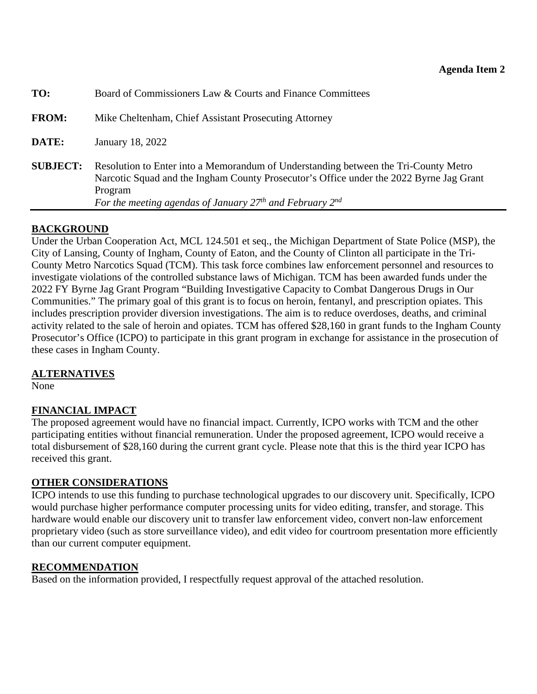<span id="page-21-0"></span>

| TO:             | Board of Commissioners Law & Courts and Finance Committees                                                                                                                                                                                                |
|-----------------|-----------------------------------------------------------------------------------------------------------------------------------------------------------------------------------------------------------------------------------------------------------|
| <b>FROM:</b>    | Mike Cheltenham, Chief Assistant Prosecuting Attorney                                                                                                                                                                                                     |
| DATE:           | January 18, 2022                                                                                                                                                                                                                                          |
| <b>SUBJECT:</b> | Resolution to Enter into a Memorandum of Understanding between the Tri-County Metro<br>Narcotic Squad and the Ingham County Prosecutor's Office under the 2022 Byrne Jag Grant<br>Program<br>For the meeting agendas of January $27th$ and February $2nd$ |

# **BACKGROUND**

Under the Urban Cooperation Act, MCL 124.501 et seq., the Michigan Department of State Police (MSP), the City of Lansing, County of Ingham, County of Eaton, and the County of Clinton all participate in the Tri-County Metro Narcotics Squad (TCM). This task force combines law enforcement personnel and resources to investigate violations of the controlled substance laws of Michigan. TCM has been awarded funds under the 2022 FY Byrne Jag Grant Program "Building Investigative Capacity to Combat Dangerous Drugs in Our Communities." The primary goal of this grant is to focus on heroin, fentanyl, and prescription opiates. This includes prescription provider diversion investigations. The aim is to reduce overdoses, deaths, and criminal activity related to the sale of heroin and opiates. TCM has offered \$28,160 in grant funds to the Ingham County Prosecutor's Office (ICPO) to participate in this grant program in exchange for assistance in the prosecution of these cases in Ingham County.

# **ALTERNATIVES**

None

# **FINANCIAL IMPACT**

The proposed agreement would have no financial impact. Currently, ICPO works with TCM and the other participating entities without financial remuneration. Under the proposed agreement, ICPO would receive a total disbursement of \$28,160 during the current grant cycle. Please note that this is the third year ICPO has received this grant.

# **OTHER CONSIDERATIONS**

ICPO intends to use this funding to purchase technological upgrades to our discovery unit. Specifically, ICPO would purchase higher performance computer processing units for video editing, transfer, and storage. This hardware would enable our discovery unit to transfer law enforcement video, convert non-law enforcement proprietary video (such as store surveillance video), and edit video for courtroom presentation more efficiently than our current computer equipment.

### **RECOMMENDATION**

Based on the information provided, I respectfully request approval of the attached resolution.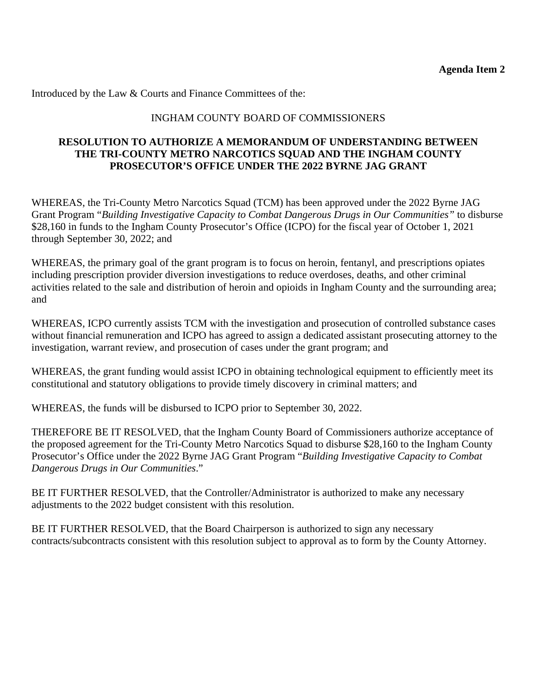Introduced by the Law & Courts and Finance Committees of the:

# INGHAM COUNTY BOARD OF COMMISSIONERS

## **RESOLUTION TO AUTHORIZE A MEMORANDUM OF UNDERSTANDING BETWEEN THE TRI-COUNTY METRO NARCOTICS SQUAD AND THE INGHAM COUNTY PROSECUTOR'S OFFICE UNDER THE 2022 BYRNE JAG GRANT**

WHEREAS, the Tri-County Metro Narcotics Squad (TCM) has been approved under the 2022 Byrne JAG Grant Program "*Building Investigative Capacity to Combat Dangerous Drugs in Our Communities"* to disburse \$28,160 in funds to the Ingham County Prosecutor's Office (ICPO) for the fiscal year of October 1, 2021 through September 30, 2022; and

WHEREAS, the primary goal of the grant program is to focus on heroin, fentanyl, and prescriptions opiates including prescription provider diversion investigations to reduce overdoses, deaths, and other criminal activities related to the sale and distribution of heroin and opioids in Ingham County and the surrounding area; and

WHEREAS, ICPO currently assists TCM with the investigation and prosecution of controlled substance cases without financial remuneration and ICPO has agreed to assign a dedicated assistant prosecuting attorney to the investigation, warrant review, and prosecution of cases under the grant program; and

WHEREAS, the grant funding would assist ICPO in obtaining technological equipment to efficiently meet its constitutional and statutory obligations to provide timely discovery in criminal matters; and

WHEREAS, the funds will be disbursed to ICPO prior to September 30, 2022.

THEREFORE BE IT RESOLVED, that the Ingham County Board of Commissioners authorize acceptance of the proposed agreement for the Tri-County Metro Narcotics Squad to disburse \$28,160 to the Ingham County Prosecutor's Office under the 2022 Byrne JAG Grant Program "*Building Investigative Capacity to Combat Dangerous Drugs in Our Communities*."

BE IT FURTHER RESOLVED, that the Controller/Administrator is authorized to make any necessary adjustments to the 2022 budget consistent with this resolution.

BE IT FURTHER RESOLVED, that the Board Chairperson is authorized to sign any necessary contracts/subcontracts consistent with this resolution subject to approval as to form by the County Attorney.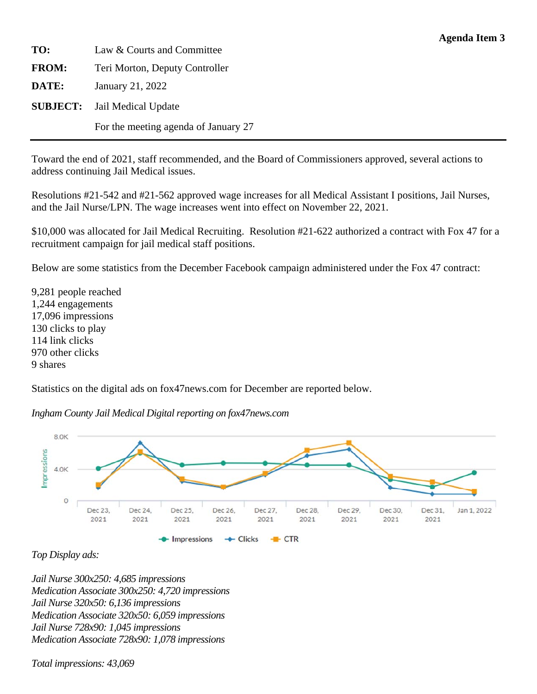<span id="page-23-0"></span>**TO:** Law & Courts and Committee **FROM:** Teri Morton, Deputy Controller **DATE:** January 21, 2022 **SUBJECT:** Jail Medical Update For the meeting agenda of January 27

Toward the end of 2021, staff recommended, and the Board of Commissioners approved, several actions to address continuing Jail Medical issues.

Resolutions #21-542 and #21-562 approved wage increases for all Medical Assistant I positions, Jail Nurses, and the Jail Nurse/LPN. The wage increases went into effect on November 22, 2021.

\$10,000 was allocated for Jail Medical Recruiting. Resolution #21-622 authorized a contract with Fox 47 for a recruitment campaign for jail medical staff positions.

Below are some statistics from the December Facebook campaign administered under the Fox 47 contract:

9,281 people reached 1,244 engagements 17,096 impressions 130 clicks to play 114 link clicks 970 other clicks 9 shares

Statistics on the digital ads on fox47news.com for December are reported below.



*Ingham County Jail Medical Digital reporting on fox47news.com* 

*Top Display ads:* 

*Jail Nurse 300x250: 4,685 impressions Medication Associate 300x250: 4,720 impressions Jail Nurse 320x50: 6,136 impressions Medication Associate 320x50: 6,059 impressions Jail Nurse 728x90: 1,045 impressions Medication Associate 728x90: 1,078 impressions* 

*Total impressions: 43,069*